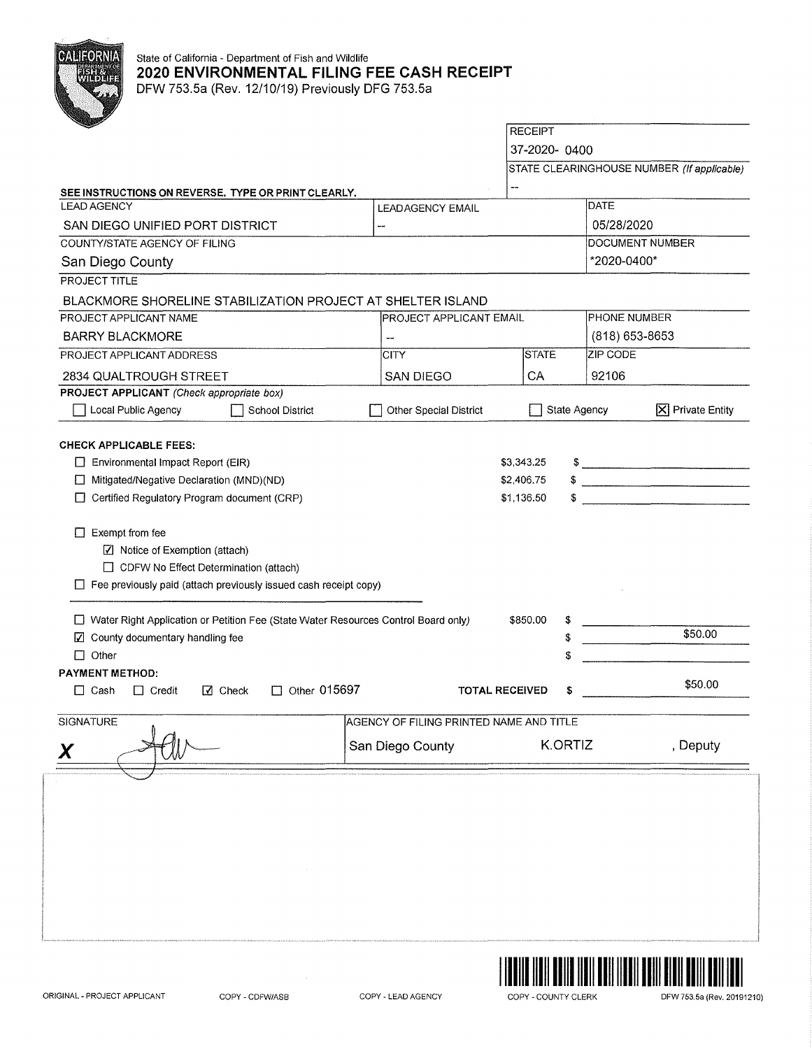

## State of California - Department of Fish and Wildlife **2020 ENVIRONMENTAL FILING FEE CASH RECEIPT**  DFW 753.5a (Rev. 12/10/19) Previously DFG 753.5a

**RECEIPT** 37-2020- 0400 STATE CLEARINGHOUSE NUMBER (If applicable) **SEE INSTRUCTIONS ON REVERSE. TYPE OR PRINT CLEARLY. DATE** LEAD AGENCY LEAD AGENCY EMAIL SAN DIEGO UNIFIED PORT DISTRICT 05/28/2020 ... COUNTY/STATE AGENCY OF FILING DOCUMENT NUMBER San Diego County \*2020-0400\* PROJECT TITLE BLACKMORE SHORELINE STABILIZATION PROJECT AT SHELTER ISLAND PROJECT APPLICANT NAME PROJECT APPLICANT EMAIL PHONE NUMBER BARRY BLACKMORE ( 818) 653-8653 PROJECT APPLICANT ADDRESS **STATE** ZIP CODE **CITY** 2834 QUALTROUGH STREET SAN DIEGO 92106  $\overline{\phantom{a}}$  CA **PROJECT APPLICANT** (Check appropriate box) Other Special District □ State Agency **18** Private Entity D Local Public Agency District **CHECK APPLICABLE FEES:**   $$ 3,343.25$   $$$  $\Box$  Environmental Impact Report (EIR) \$ D Mitigated/Negative Declaration (MND)(ND) \$2,406.75  $\begin{array}{c} \bullet \\ \bullet \end{array}$ D Certified Regulatory Program document (CRP) \$1,136.50  $\Box$  Exempt from fee [l] Notice of Exemption (attach) D CDFW No Effect Determination (attach)  $\Box$  Fee previously paid (attach previously issued cash receipt copy) D Water Right Application or Petition Fee (State Water Resources Control Board only) \$850.00 \$ \$50.00 **Z** County documentary handling fee \$ □ Other \$ **PAYMENT METHOD:**  D Cash D Credit Ill Check D Other 015697 **TOTAL RECEIVED** \$ \$50.00 SIGNATURE AND TITLE AGENCY OF FILING PRINTED NAME AND TITLE San Diego County **K.ORTIZ**, Deputy

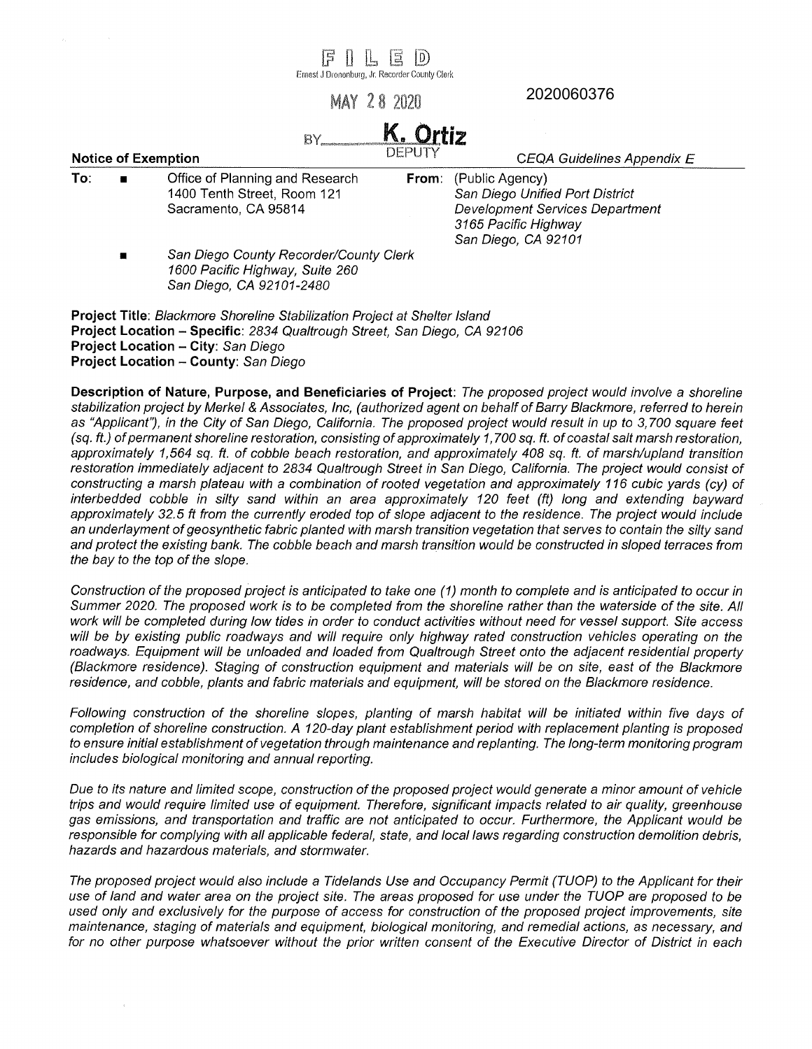FILED Ernest J Oronenburg, Jr. Recorder County Clerk 2020060376MAY 28 2020 K. Ortiz  $BY$  $FPIIT$ **Notice of Exemption**  CEQA Guidelines Appendix E **To:** ■ Office of Planning and Research (Public Agency) **From:**  1400 Tenth Street, Room 121 San Diego Unified Port District Sacramento, CA 95814 Development Services Department 3165 Pacific Highway San Diego, CA 92101 San Diego County Recorder/County Clerk 1600 Pacific Highway, Suite 260 San Diego, CA 92101-2480 **Project Title:** Blackmore Shoreline Stabilization Project at Shelter Island **Project Location - Specific: 2834 Qualtrough Street, San Diego, CA 92106 Project Location - City:** San Diego

**Project Location - County:** San Diego

**Description of Nature, Purpose, and Beneficiaries of Project:** The proposed project would involve a shoreline stabilization project by Merkel & Associates, Inc, (authorized agent on behalf of Barry Blackmore, referred to herein as "Applicant'), in the City of San Diego, California. The proposed project would result in up to 3,700 square feet ( sq. ft.) of permanent shoreline restoration, consisting of approximately 1, 700 sq. *ft.* of coastal salt marsh restoration, approximately 1,564 sq. ft. of cobble beach restoration, and approximately 408 sq. ft. of marsh/upland transition restoration immediately adjacent to 2834 Qualtrough Street in San Diego, California. The project would consist of constructing a marsh plateau with a combination of rooted vegetation and approximately 116 cubic yards (cy) of interbedded cobble in silty sand within an area approximately 120 feet (ft) long and extending bayward approximately 32.5 ft from the currently eroded top of slope adjacent to the residence. The project would include an underlayment of geosynthetic fabric planted with marsh transition vegetation that serves to contain the silty sand and protect the existing bank. The cobble beach and marsh transition would be constructed in sloped terraces from the bay to the top of the slope.

Construction of the proposed project is anticipated to take one (1) month to complete and is anticipated to occur in Summer 2020. The proposed work is to be completed from the shoreline rather than the waterside of the site. All work will be completed during low tides in order to conduct activities without need for vessel support. Site access will be by existing public roadways and will require only highway rated construction vehicles operating on the roadways. Equipment will be unloaded and loaded from Qualtrough Street onto the adjacent residential property (Blackmore residence). Staging of construction equipment and materials will be on site, east of the Blackmore residence, and cobble, plants and fabric materials and equipment, will be stored on the Blackmore residence.

Following construction of the shoreline slopes, planting of marsh habitat will be initiated within five days of completion of shoreline construction. A 120-day plant establishment period with replacement planting is proposed to ensure initial establishment of vegetation through maintenance and replanting. The long-term monitoring program includes biological monitoring and annual reporting.

Due to its nature and limited scope, construction of the proposed project would generate a minor amount of vehicle trips and would require limited use of equipment. Therefore, significant impacts related to air quality, greenhouse gas emissions, and transportation and traffic are not anticipated to occur. Furthermore, the Applicant would be responsible for complying with all applicable federal, state, and local laws regarding construction demolition debris, hazards and hazardous materials, and stormwater.

The proposed project would also include a Tidelands Use and Occupancy Permit (TUOP) to the Applicant for their use of land and water area on the project site. The areas proposed for use under the TUOP are proposed to be used only and exclusively for the purpose of access for construction of the proposed project improvements, site maintenance, staging of materials and equipment, biological monitoring, and remedial actions, as necessary, and for no other purpose whatsoever without the prior written consent of the Executive Director of District in each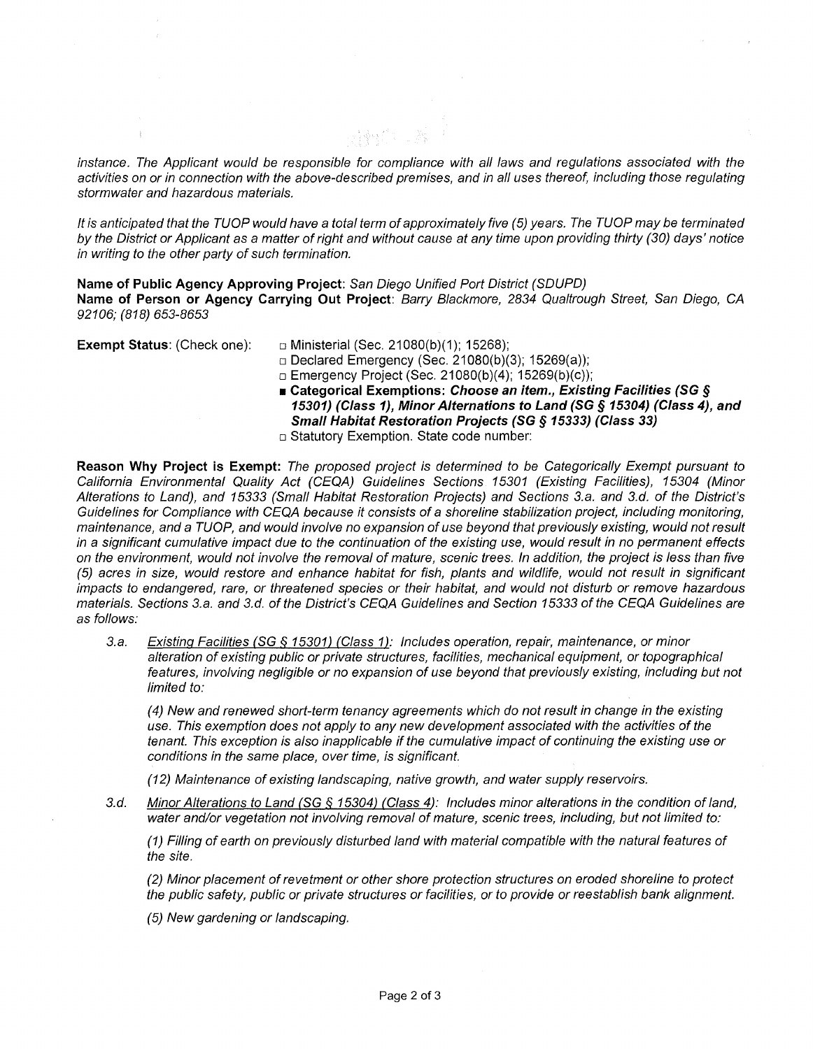instance. The Applicant would be responsible for compliance with all laws and regulations associated with the activities on or in connection with the above-described premises, and in all uses thereof, including those regulating stormwater and hazardous materials.

操作工程

It is anticipated that the TUOP would have a total term of approximately five (5) years. The TUOP may be terminated by the District or Applicant as a matter of right and without cause at any time upon providing thirty (30) days' notice in writing to the other party of such termination.

**Name of Public Agency Approving Project:** San Diego Unified Port District (SDUPD) **Name of Person or Agency Carrying Out Project:** Barry Blackmore, 2834 Qua/trough Street, San Diego, CA 92106; (818) 653-8653

**Exempt Status: (Check one):** □ Ministerial (Sec. 21080(b)(1); 15268);

□ Declared Emergency (Sec. 21080(b)(3); 15269(a));

- □ Emergency Project (Sec. 21080(b)(4); 15269(b)(c));
- **Categorical Exemptions: Choose an item., Existing Facilities (SG** *§*  **15301) (Class 1), Minor Alternations to Land (SG § 15304) (Class 4), and Small Habitat Restoration Projects (SG § 15333) (Class 33)**
- □ Statutory Exemption. State code number:

**Reason Why Project is Exempt:** The proposed project is determined to be Categorically Exempt pursuant to California Environmental Quality Act (CEQA) Guidelines Sections 15301 (Existing Facilities), 15304 (Minor Alterations to Land}, and 15333 (Small Habitat Restoration Projects) and Sections 3.a. and 3.d. of the District's Guidelines for Compliance with CEQA because it consists of a shoreline stabilization project, including monitoring, maintenance, and a TUOP, and would involve no expansion of use beyond that previously existing, would not result in a significant cumulative impact due to the continuation of the existing use, would result in no permanent effects on the environment, would not involve the removal of mature, scenic trees. In addition, the project is less than five (5) acres in size, would restore and enhance habitat for fish, plants and wildlife, would not result in significant impacts to endangered, rare, or threatened species or their habitat, and would not disturb or remove hazardous materials. Sections 3.a. and 3.d. of the District's CEQA Guidelines and Section 15333 of the CEQA Guidelines are as follows:

3.a. Existing Facilities **{SG** § 15301) {Class 1 ): Includes operation, repair, maintenance, or minor alteration of existing public or private structures, facilities, mechanical equipment, or topographical features, involving negligible or no expansion of use beyond that previously existing, including but not limited to:

(4) New and renewed short-term tenancy agreements which do not result in change in the existing use. This exemption does not apply to any new development associated with the activities of the tenant. This exception is also inapplicable if the cumulative impact of continuing the existing use or conditions in the same place, over time, is significant.

(12) Maintenance of existing landscaping, native growth, and water supply reservoirs.

3.d. Minor Alterations to Land {SG § 15304) {Class 4): Includes minor alterations in the condition of land, water and/or vegetation not involving removal of mature, scenic trees, including, but not limited to:

(1) Filling of earth on previously disturbed land with material compatible with the natural features of the site.

(2) Minor placement of revetment or other shore protection structures on eroded shoreline to protect the public safety, public or private structures or facilities, or to provide or reestablish bank alignment.

(5) New gardening or landscaping.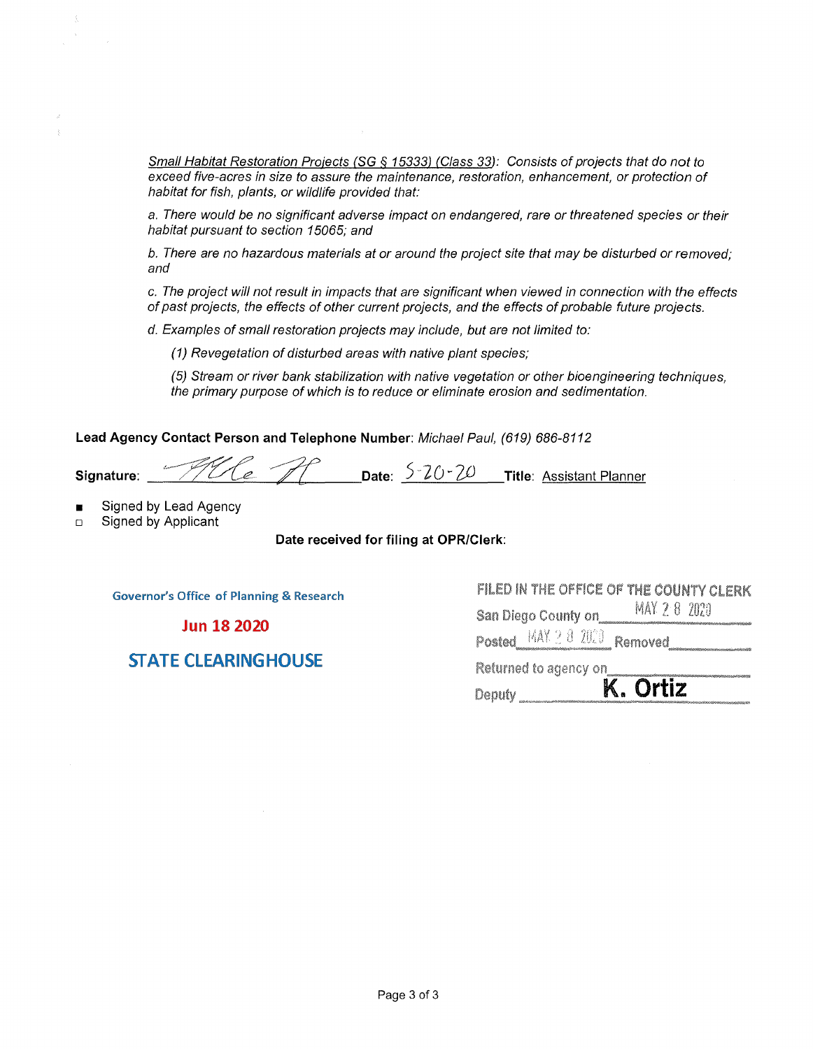Small Habitat Restoration Projects (SG § 15333) (Class 33): Consists of projects that do not to exceed five-acres in size to assure the maintenance, restoration, enhancement, or protection of habitat for fish, plants, or wildlife provided that:

a. There would be no significant adverse impact on endangered, rare or threatened species or their habitat pursuant to section 15065; and

b. There are no hazardous materials at or around the project site that may be disturbed or removed; and

c. The project will not result in impacts that are significant when viewed in connection with the effects of past projects, the effects of other current projects, and the effects of probable future projects.

d. Examples of small restoration projects may include, but are not limited to:

(1) Revegetation of disturbed areas with native plant species;

(5) Stream or river bank stabilization with native vegetation or other bioengineering techniques, the primary purpose of which is to reduce or eliminate erosion and sedimentation.

**Lead Agency Contact Person and Telephone Number:** Michael Paul, (619) 686-8112

**Signature:**  The AP Date: 5-20-20 Title: Assistant Planner

- Signed by Lead Agency
- □ Signed by Applicant

**Date received for filing at QPR/Clerk:** 

**Governor's Office of Planning & Research** 

**Jun 18 2020** 

**STATE CLEARINGHOUSE** 

**FILED IN 'THE OFFICE OF THE COUNTY CLERK San Diego County on \_\_\_\_\_ MAY 2:8 2020** ~-- • " liJ, **Removed** --------- **Returned** to agency on \_\_ ~~--

 $Postered$   $\frac{MAX}{2}$   $3$   $202$ 

Returned to agency on<br>Deputy \_\_\_\_\_\_\_\_\_**K. Ortiz**